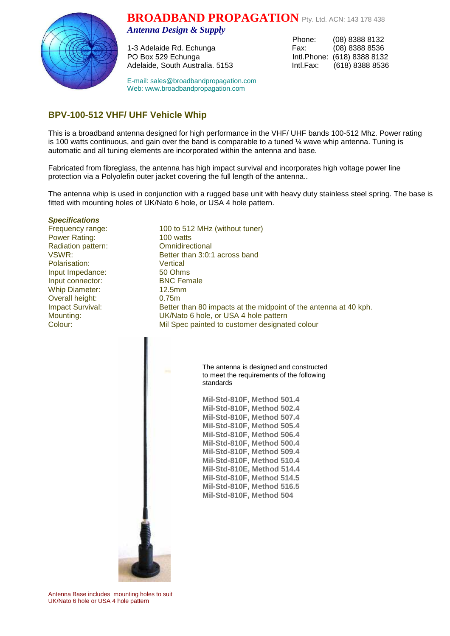## **BROADBAND PROPAGATION** Pty. Ltd. ACN: 143 178 438



*Antenna Design & Supply* 

1-3 Adelaide Rd. Echunga PO Box 529 Echunga Intl.Phone: (618) 8388 8132 Adelaide, South Australia. 5153 Intl.Fax: (618) 8388 8536

E-mail: sales@broadbandpropagation.com Web: www.broadbandpropagation.com

Phone: (08) 8388 8132<br>Fax: (08) 8388 8536

## **BPV-100-512 VHF/ UHF Vehicle Whip**

This is a broadband antenna designed for high performance in the VHF/ UHF bands 100-512 Mhz. Power rating is 100 watts continuous, and gain over the band is comparable to a tuned  $\frac{1}{4}$  wave whip antenna. Tuning is automatic and all tuning elements are incorporated within the antenna and base.

Fabricated from fibreglass, the antenna has high impact survival and incorporates high voltage power line protection via a Polyolefin outer jacket covering the full length of the antenna..

The antenna whip is used in conjunction with a rugged base unit with heavy duty stainless steel spring. The base is fitted with mounting holes of UK/Nato 6 hole, or USA 4 hole pattern.

## **Specifications**

Power Rating: 100 watts Radiation pattern: Omnidirectional Polarisation: Vertical Input Impedance: 50 Ohms Input connector: BNC Female Whip Diameter: 12.5mm Overall height: 0.75m

Frequency range: 100 to 512 MHz (without tuner) VSWR: Better than 3:0:1 across band Impact Survival: Better than 80 impacts at the midpoint of the antenna at 40 kph. Mounting: UK/Nato 6 hole, or USA 4 hole pattern Colour: Mil Spec painted to customer designated colour

The antenna is designed and constructed to meet the requirements of the following standards

**Mil-Std-810F, Method 501.4 Mil-Std-810F, Method 502.4 Mil-Std-810F, Method 507.4 Mil-Std-810F, Method 505.4 Mil-Std-810F, Method 506.4 Mil-Std-810F, Method 500.4 Mil-Std-810F, Method 509.4 Mil-Std-810F, Method 510.4 Mil-Std-810E, Method 514.4 Mil-Std-810F, Method 514.5 Mil-Std-810F, Method 516.5 Mil-Std-810F, Method 504**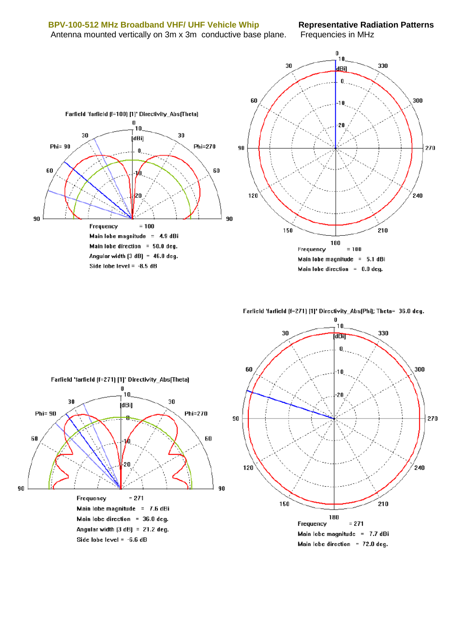Farfield 'farfield (f=100) [1]' Directivity\_Abs(Theta)  $\pmb{0}$ 

30

Frequency

Phi= 90

60

90

ΊN

İdBil

 $\mathbf{0}_{\cdot}$ 

Λ.

20

Main lobe magnitude  $= 4.9$  dBi

Main lobe direction  $= 50.0$  deg.

Angular width  $(3 dB) = 46.0 deg.$ 

Side lobe level =  $-8.5$  dB

 $= 100$ 

Antenna mounted vertically on 3m x 3m conductive base plane. Frequencies in MHz

30

Phi=270

60



Farfield 'farfield [f=271] [1]' Directivity\_Abs(Phi); Theta= 36.0 deg.